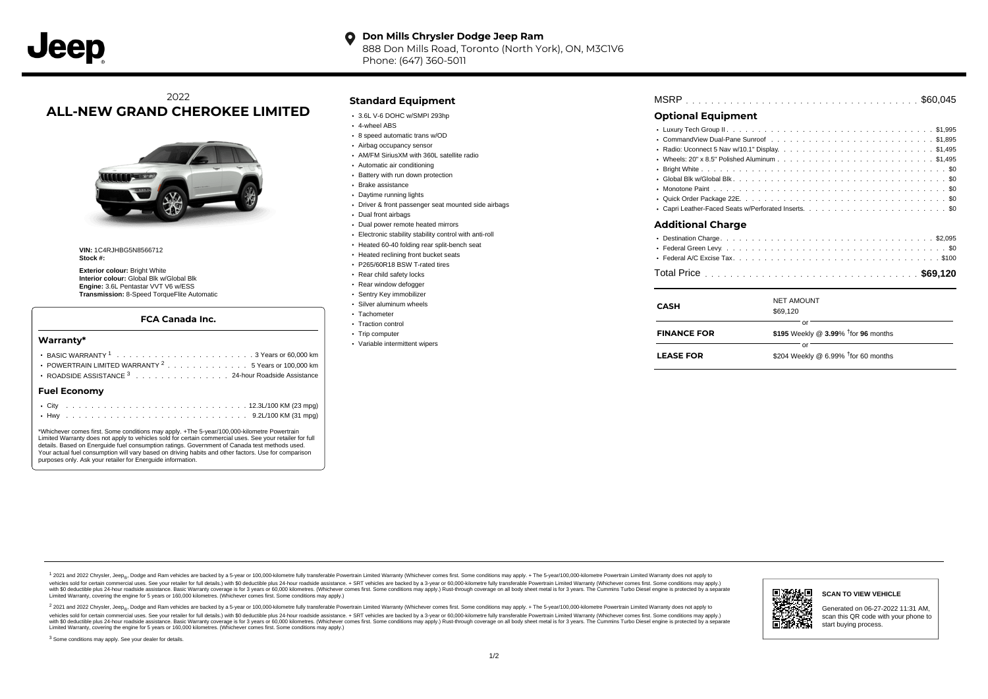#### **Don Mills Chrysler Dodge Jeep Ram**  $\bullet$ 888 Don Mills Road, Toronto (North York), ON, M3C1V6

Phone: (647) 360-5011

# 2022 **ALL-NEW GRAND CHEROKEE LIMITED**



**VIN:** 1C4RJHBG5N8566712 **Stock #:**

**Exterior colour:** Bright White **Interior colour:** Global Blk w/Global Blk **Engine:** 3.6L Pentastar VVT V6 w/ESS **Transmission:** 8-Speed TorqueFlite Automatic

#### **FCA Canada Inc.**

#### **Warranty\***

| POWERTRAIN LIMITED WARRANTY $2 \ldots \ldots \ldots \ldots \ldots \ldots$ 5 Years or 100,000 km $\parallel$<br>ROADSIDE ASSISTANCE 3 24-hour Roadside Assistance | <b>LEASE FOR</b> | \$204 Weekly @ 6.99% <sup>†</sup> for 60 months |
|------------------------------------------------------------------------------------------------------------------------------------------------------------------|------------------|-------------------------------------------------|
| <b>Fuel Economy</b>                                                                                                                                              |                  |                                                 |
|                                                                                                                                                                  |                  |                                                 |

\*Whichever comes first. Some conditions may apply. +The 5-year/100,000-kilometre Powertrain Limited Warranty does not apply to vehicles sold for certain commercial uses. See your retailer for full details. Based on Energuide fuel consumption ratings. Government of Canada test methods used. Your actual fuel consumption will vary based on driving habits and other factors. Use for comparison purposes only. Ask your retailer for Energuide information.

. . . . . . . . . . . . . . . . . . . . . . . . . . . . . . . . . . . . . . . . . . . Hwy 9.2L/100 KM (31 mpg)

## **Standard Equipment**

- 3.6L V-6 DOHC w/SMPI 293hp
- 4-wheel ABS
- 8 speed automatic trans w/OD
- Airbag occupancy sensor
- AM/FM SiriusXM with 360L satellite radio
- Automatic air conditioning
- Battery with run down protection
- Brake assistance
- Daytime running lights
- Driver & front passenger seat mounted side airbags
- Dual front airbags
- Dual power remote heated mirrors
- Electronic stability stability control with anti-roll
- Heated 60-40 folding rear split-bench seat
- Heated reclining front bucket seats P265/60R18 BSW T-rated tires
- 
- Rear child safety locks
- Rear window defogger
- Sentry Key immobilizer Silver aluminum wheels
- Tachometer
- Traction control
- Trip computer
- Variable intermittent wipers

# . . . . . . . . . . . . . . . . . . . . . . . . . . . . . . . . . . . . . . . . . . . . . . MSRP \$60,045

### **Optional Equipment**

| Additional Charge |
|-------------------|
|                   |

# . . . . . . . . . . . . . . . . . . . . . . . . . . . . . . . . . . . . . . . . . . . . . . Total Price **\$69,120**

| CASH               | <b>NET AMOUNT</b><br>\$69,120                            |
|--------------------|----------------------------------------------------------|
| <b>FINANCE FOR</b> | nr<br>\$195 Weekly @ $3.99\%$ <sup>†</sup> for 96 months |
| <b>LEASE FOR</b>   | or<br>\$204 Weekly @ 6.99% $†$ for 60 months             |

1 2021 and 2022 Chrysler, Jeep<sub>en</sub> Dodge and Ram vehicles are backed by a 5-year or 100,000-kilometre fully transferable Powertrain Limited Warranty (Whichever comes first. Some conditions may apply. + The 5-year/100,000-k rebicles sold for certain commercial uses. See your retailer for full details) with S0 deductible plus 24-hour madside assistance. + SRT vehicles are backed by a 3-year or 60.000-kilometre fully transferable Powertrain Lim ventals and contract when the contract when the contract you contract when the contract when the control of the set of a set of a set of a set of 3 years of 60,000 kilometres. Whichever comes first. Some conditions may app Limited Warranty, covering the engine for 5 years or 160,000 kilometres. (Whichever comes first. Some conditions may apply.)

<sup>2</sup> 2021 and 2022 Chrysler, Jeep<sub>®</sub>, Dodge and Ram vehicles are backed by a 5-year or 100,000-kilometre fully transferable Powertrain Limited Warranty (Whichever comes first. Some conditions may apply. + The 5-year/100,000 vehicles sold for certain commercial uses. See your retailer for full details.) with SO deductible plus 24-hour roadside assistance. + SRT vehicles are backed by a 3-year or 60.000-kilometre fully transferable Powertrain L with S0 deductible plus 24-hour roadside assistance. Basic Warranty coverage is for 3 years or 60,000 kilometres. (Whichever comes first. Some conditions may apply.) Rust-through coverage on all body sheet metal is for 3 y

<sup>3</sup> Some conditions may apply. See your dealer for details.



Generated on 06-27-2022 11:31 AM, scan this QR code with your phone to start buying process.